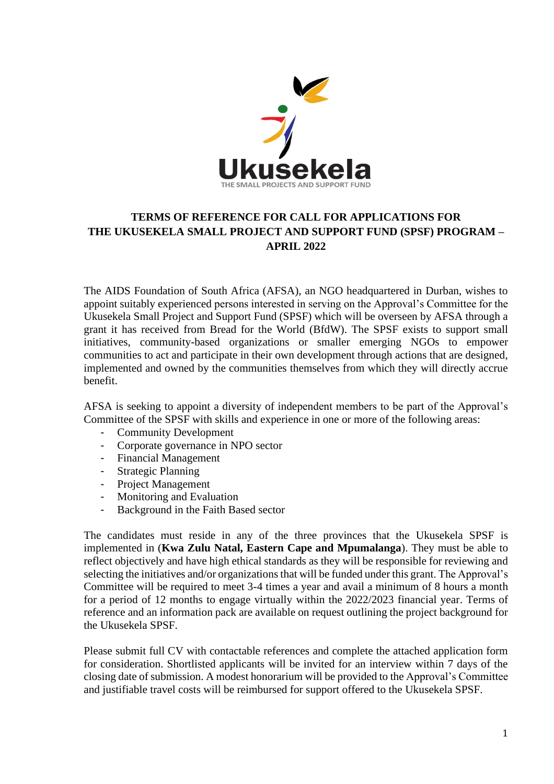

## **TERMS OF REFERENCE FOR CALL FOR APPLICATIONS FOR THE UKUSEKELA SMALL PROJECT AND SUPPORT FUND (SPSF) PROGRAM – APRIL 2022**

The AIDS Foundation of South Africa (AFSA), an NGO headquartered in Durban, wishes to appoint suitably experienced persons interested in serving on the Approval's Committee for the Ukusekela Small Project and Support Fund (SPSF) which will be overseen by AFSA through a grant it has received from Bread for the World (BfdW). The SPSF exists to support small initiatives, community-based organizations or smaller emerging NGOs to empower communities to act and participate in their own development through actions that are designed, implemented and owned by the communities themselves from which they will directly accrue benefit.

AFSA is seeking to appoint a diversity of independent members to be part of the Approval's Committee of the SPSF with skills and experience in one or more of the following areas:

- Community Development
- Corporate governance in NPO sector
- Financial Management
- Strategic Planning
- Project Management
- Monitoring and Evaluation
- Background in the Faith Based sector

The candidates must reside in any of the three provinces that the Ukusekela SPSF is implemented in (**Kwa Zulu Natal, Eastern Cape and Mpumalanga**). They must be able to reflect objectively and have high ethical standards as they will be responsible for reviewing and selecting the initiatives and/or organizations that will be funded under this grant. The Approval's Committee will be required to meet 3-4 times a year and avail a minimum of 8 hours a month for a period of 12 months to engage virtually within the 2022/2023 financial year. Terms of reference and an information pack are available on request outlining the project background for the Ukusekela SPSF.

Please submit full CV with contactable references and complete the attached application form for consideration. Shortlisted applicants will be invited for an interview within 7 days of the closing date of submission. A modest honorarium will be provided to the Approval's Committee and justifiable travel costs will be reimbursed for support offered to the Ukusekela SPSF.